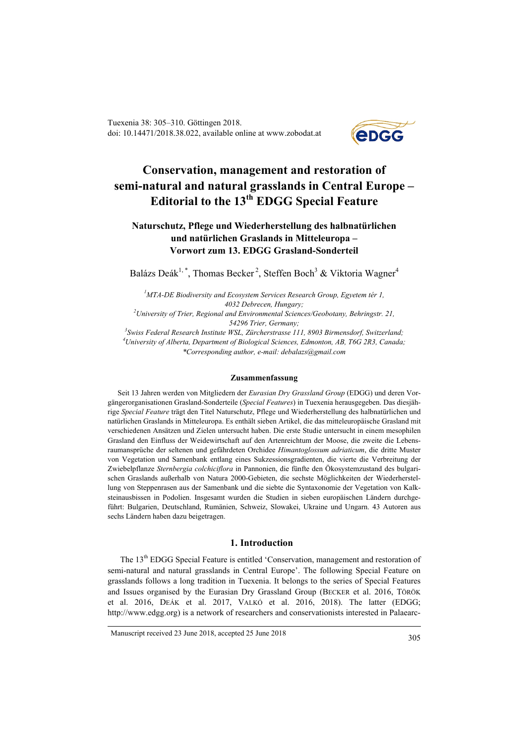Tuexenia 38: 305–310. Göttingen 2018. doi: 10.14471/2018.38.022, available online at www.zobodat.at



# **Conservation, management and restoration of semi-natural and natural grasslands in Central Europe – Editorial to the 13th EDGG Special Feature**

# **Naturschutz, Pflege und Wiederherstellung des halbnatürlichen und natürlichen Graslands in Mitteleuropa – Vorwort zum 13. EDGG Grasland-Sonderteil**

Balázs Deák<sup>1, \*</sup>, Thomas Becker<sup>2</sup>, Steffen Boch<sup>3</sup> & Viktoria Wagner<sup>4</sup>

 *MTA-DE Biodiversity and Ecosystem Services Research Group, Egyetem tér 1, Debrecen, Hungary; University of Trier, Regional and Environmental Sciences/Geobotany, Behringstr. 21, 54296 Trier, Germany;*

*3 Swiss Federal Research Institute WSL, Zürcherstrasse 111, 8903 Birmensdorf, Switzerland; 4 University of Alberta, Department of Biological Sciences, Edmonton, AB, T6G 2R3, Canada; \*Corresponding author, e-mail: [debalazs@gmail.com](mailto:debalazs@gmail.com)*

#### **Zusammenfassung**

Seit 13 Jahren werden von Mitgliedern der *Eurasian Dry Grassland Group* (EDGG) und deren Vorgängerorganisationen Grasland-Sonderteile (*Special Features*) in Tuexenia herausgegeben. Das diesjährige *Special Feature* trägt den Titel Naturschutz, Pflege und Wiederherstellung des halbnatürlichen und natürlichen Graslands in Mitteleuropa. Es enthält sieben Artikel, die das mitteleuropäische Grasland mit verschiedenen Ansätzen und Zielen untersucht haben. Die erste Studie untersucht in einem mesophilen Grasland den Einfluss der Weidewirtschaft auf den Artenreichtum der Moose, die zweite die Lebensraumansprüche der seltenen und gefährdeten Orchidee *Himantoglossum adriaticum*, die dritte Muster von Vegetation und Samenbank entlang eines Sukzessionsgradienten, die vierte die Verbreitung der Zwiebelpflanze *Sternbergia colchiciflora* in Pannonien, die fünfte den Ökosystemzustand des bulgarischen Graslands außerhalb von Natura 2000-Gebieten, die sechste Möglichkeiten der Wiederherstellung von Steppenrasen aus der Samenbank und die siebte die Syntaxonomie der Vegetation von Kalksteinausbissen in Podolien. Insgesamt wurden die Studien in sieben europäischen Ländern durchgeführt: Bulgarien, Deutschland, Rumänien, Schweiz, Slowakei, Ukraine und Ungarn. 43 Autoren aus sechs Ländern haben dazu beigetragen.

### **1. Introduction**

The 13<sup>th</sup> EDGG Special Feature is entitled 'Conservation, management and restoration of semi-natural and natural grasslands in Central Europe'. The following Special Feature on grasslands follows a long tradition in Tuexenia. It belongs to the series of Special Features and Issues organised by the Eurasian Dry Grassland Group (BECKER et al. 2016, TÖRÖK et al. 2016, DEÁK et al. 2017, VALKÓ et al. 2016, 2018). The latter (EDGG; http://www.edgg.org) is a network of researchers and conservationists interested in Palaearc-

Manuscript received 23 June 2018, accepted 25 June 2018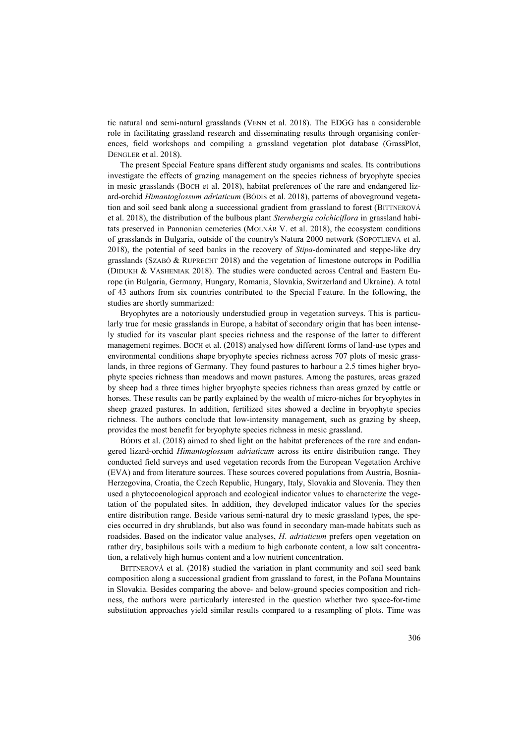tic natural and semi-natural grasslands (VENN et al. 2018). The EDGG has a considerable role in facilitating grassland research and disseminating results through organising conferences, field workshops and compiling a grassland vegetation plot database (GrassPlot, DENGLER et al. 2018).

The present Special Feature spans different study organisms and scales. Its contributions investigate the effects of grazing management on the species richness of bryophyte species in mesic grasslands (BOCH et al. 2018), habitat preferences of the rare and endangered lizard-orchid *Himantoglossum adriaticum* (BÓDIS et al. 2018), patterns of aboveground vegetation and soil seed bank along a successional gradient from grassland to forest (BITTNEROVÁ et al. 2018), the distribution of the bulbous plant *Sternbergia colchiciflora* in grassland habitats preserved in Pannonian cemeteries (MOLNÁR V. et al. 2018), the ecosystem conditions of grasslands in Bulgaria, outside of the country's Natura 2000 network (SOPOTLIEVA et al. 2018), the potential of seed banks in the recovery of *Stipa*-dominated and steppe-like dry grasslands (SZABÓ & RUPRECHT 2018) and the vegetation of limestone outcrops in Podillia (DIDUKH & VASHENIAK 2018). The studies were conducted across Central and Eastern Europe (in Bulgaria, Germany, Hungary, Romania, Slovakia, Switzerland and Ukraine). A total of 43 authors from six countries contributed to the Special Feature. In the following, the studies are shortly summarized:

Bryophytes are a notoriously understudied group in vegetation surveys. This is particularly true for mesic grasslands in Europe, a habitat of secondary origin that has been intensely studied for its vascular plant species richness and the response of the latter to different management regimes. BOCH et al. (2018) analysed how different forms of land-use types and environmental conditions shape bryophyte species richness across 707 plots of mesic grasslands, in three regions of Germany. They found pastures to harbour a 2.5 times higher bryophyte species richness than meadows and mown pastures. Among the pastures, areas grazed by sheep had a three times higher bryophyte species richness than areas grazed by cattle or horses. These results can be partly explained by the wealth of micro-niches for bryophytes in sheep grazed pastures. In addition, fertilized sites showed a decline in bryophyte species richness. The authors conclude that low-intensity management, such as grazing by sheep, provides the most benefit for bryophyte species richness in mesic grassland.

BÓDIS et al. (2018) aimed to shed light on the habitat preferences of the rare and endangered lizard-orchid *Himantoglossum adriaticum* across its entire distribution range. They conducted field surveys and used vegetation records from the European Vegetation Archive (EVA) and from literature sources. These sources covered populations from Austria, Bosnia-Herzegovina, Croatia, the Czech Republic, Hungary, Italy, Slovakia and Slovenia. They then used a phytocoenological approach and ecological indicator values to characterize the vegetation of the populated sites. In addition, they developed indicator values for the species entire distribution range. Beside various semi-natural dry to mesic grassland types, the species occurred in dry shrublands, but also was found in secondary man-made habitats such as roadsides. Based on the indicator value analyses, *H*. *adriaticum* prefers open vegetation on rather dry, basiphilous soils with a medium to high carbonate content, a low salt concentration, a relatively high humus content and a low nutrient concentration.

BITTNEROVÁ et al. (2018) studied the variation in plant community and soil seed bank composition along a successional gradient from grassland to forest, in the Poľana Mountains in Slovakia. Besides comparing the above- and below-ground species composition and richness, the authors were particularly interested in the question whether two space-for-time substitution approaches yield similar results compared to a resampling of plots. Time was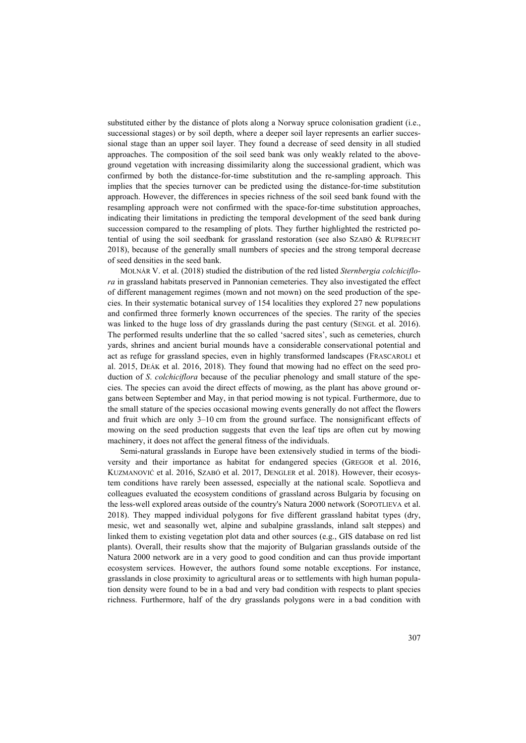substituted either by the distance of plots along a Norway spruce colonisation gradient (i.e., successional stages) or by soil depth, where a deeper soil layer represents an earlier successional stage than an upper soil layer. They found a decrease of seed density in all studied approaches. The composition of the soil seed bank was only weakly related to the aboveground vegetation with increasing dissimilarity along the successional gradient, which was confirmed by both the distance-for-time substitution and the re-sampling approach. This implies that the species turnover can be predicted using the distance-for-time substitution approach. However, the differences in species richness of the soil seed bank found with the resampling approach were not confirmed with the space-for-time substitution approaches, indicating their limitations in predicting the temporal development of the seed bank during succession compared to the resampling of plots. They further highlighted the restricted potential of using the soil seedbank for grassland restoration (see also SZABÓ & RUPRECHT 2018), because of the generally small numbers of species and the strong temporal decrease of seed densities in the seed bank.

MOLNÁR V. et al. (2018) studied the distribution of the red listed *Sternbergia colchiciflora* in grassland habitats preserved in Pannonian cemeteries. They also investigated the effect of different management regimes (mown and not mown) on the seed production of the species. In their systematic botanical survey of 154 localities they explored 27 new populations and confirmed three formerly known occurrences of the species. The rarity of the species was linked to the huge loss of dry grasslands during the past century (SENGL et al. 2016). The performed results underline that the so called 'sacred sites', such as cemeteries, church yards, shrines and ancient burial mounds have a considerable conservational potential and act as refuge for grassland species, even in highly transformed landscapes (FRASCAROLI et al. 2015, DEÁK et al. 2016, 2018). They found that mowing had no effect on the seed production of *S*. *colchiciflora* because of the peculiar phenology and small stature of the species. The species can avoid the direct effects of mowing, as the plant has above ground organs between September and May, in that period mowing is not typical. Furthermore, due to the small stature of the species occasional mowing events generally do not affect the flowers and fruit which are only 3–10 cm from the ground surface. The nonsignificant effects of mowing on the seed production suggests that even the leaf tips are often cut by mowing machinery, it does not affect the general fitness of the individuals.

Semi-natural grasslands in Europe have been extensively studied in terms of the biodiversity and their importance as habitat for endangered species (GREGOR et al. 2016, KUZMANOVIĆ et al. 2016, SZABÓ et al. 2017, DENGLER et al. 2018). However, their ecosystem conditions have rarely been assessed, especially at the national scale. Sopotlieva and colleagues evaluated the ecosystem conditions of grassland across Bulgaria by focusing on the less-well explored areas outside of the country's Natura 2000 network (SOPOTLIEVA et al. 2018). They mapped individual polygons for five different grassland habitat types (dry, mesic, wet and seasonally wet, alpine and subalpine grasslands, inland salt steppes) and linked them to existing vegetation plot data and other sources (e.g., GIS database on red list plants). Overall, their results show that the majority of Bulgarian grasslands outside of the Natura 2000 network are in a very good to good condition and can thus provide important ecosystem services. However, the authors found some notable exceptions. For instance, grasslands in close proximity to agricultural areas or to settlements with high human population density were found to be in a bad and very bad condition with respects to plant species richness. Furthermore, half of the dry grasslands polygons were in a bad condition with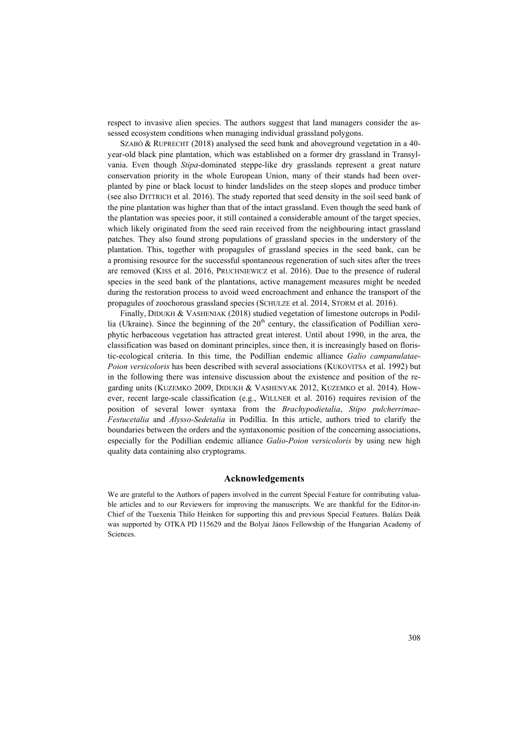respect to invasive alien species. The authors suggest that land managers consider the assessed ecosystem conditions when managing individual grassland polygons.

SZABÓ & RUPRECHT (2018) analysed the seed bank and aboveground vegetation in a 40 year-old black pine plantation, which was established on a former dry grassland in Transylvania. Even though *Stipa*-dominated steppe-like dry grasslands represent a great nature conservation priority in the whole European Union, many of their stands had been overplanted by pine or black locust to hinder landslides on the steep slopes and produce timber (see also DITTRICH et al. 2016). The study reported that seed density in the soil seed bank of the pine plantation was higher than that of the intact grassland. Even though the seed bank of the plantation was species poor, it still contained a considerable amount of the target species, which likely originated from the seed rain received from the neighbouring intact grassland patches. They also found strong populations of grassland species in the understory of the plantation. This, together with propagules of grassland species in the seed bank, can be a promising resource for the successful spontaneous regeneration of such sites after the trees are removed (KISS et al. 2016, PRUCHNIEWICZ et al. 2016). Due to the presence of ruderal species in the seed bank of the plantations, active management measures might be needed during the restoration process to avoid weed encroachment and enhance the transport of the propagules of zoochorous grassland species (SCHULZE et al. 2014, STORM et al. 2016).

Finally, DIDUKH & VASHENIAK (2018) studied vegetation of limestone outcrops in Podillia (Ukraine). Since the beginning of the  $20<sup>th</sup>$  century, the classification of Podillian xerophytic herbaceous vegetation has attracted great interest. Until about 1990, in the area, the classification was based on dominant principles, since then, it is increasingly based on floristic-ecological criteria. In this time, the Podillian endemic alliance *Galio campanulatae*-*Poion versicoloris* has been described with several associations (KUKOVITSA et al. 1992) but in the following there was intensive discussion about the existence and position of the regarding units (KUZEMKO 2009, DIDUKH & VASHENYAK 2012, KUZEMKO et al. 2014). However, recent large-scale classification (e.g., WILLNER et al. 2016) requires revision of the position of several lower syntaxa from the *Brachypodietalia*, *Stipo pulcherrimae*-*Festucetalia* and *Alysso*-*Sedetalia* in Podillia. In this article, authors tried to clarify the boundaries between the orders and the syntaxonomic position of the concerning associations, especially for the Podillian endemic alliance *Galio*-*Poion versicoloris* by using new high quality data containing also cryptograms.

## **Acknowledgements**

We are grateful to the Authors of papers involved in the current Special Feature for contributing valuable articles and to our Reviewers for improving the manuscripts. We are thankful for the Editor-in-Chief of the Tuexenia Thilo Heinken for supporting this and previous Special Features. Balázs Deák was supported by OTKA PD 115629 and the Bolyai János Fellowship of the Hungarian Academy of Sciences.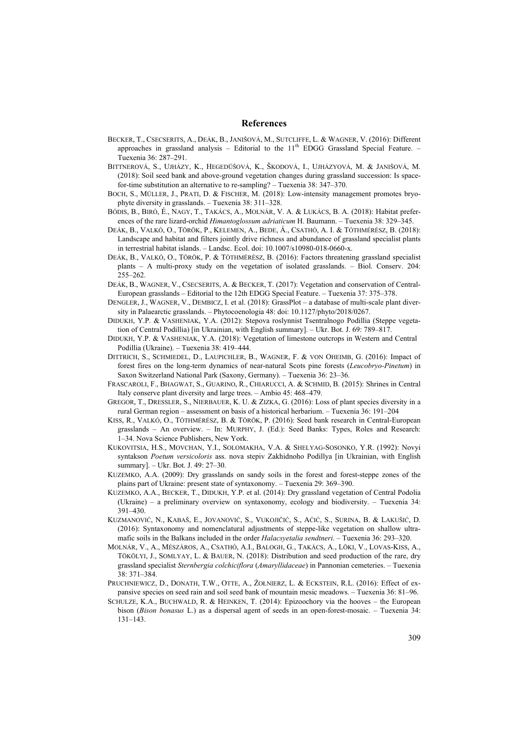#### **References**

- BECKER, T., CSECSERITS, A., DEÁK, B., JANIŠOVÁ, M., SUTCLIFFE, L. & WAGNER, V. (2016): Different approaches in grassland analysis – Editorial to the  $11<sup>th</sup>$  EDGG Grassland Special Feature. Tuexenia 36: 287–291.
- BITTNEROVÁ, S., UJHÁZY, K., HEGEDÜŠOVÁ, K., ŠKODOVÁ, I., UJHÁZYOVÁ, M. & JANIŠOVÁ, M. (2018): Soil seed bank and above-ground vegetation changes during grassland succession: Is spacefor-time substitution an alternative to re-sampling? – Tuexenia 38: 347–370.
- BOCH, S., MÜLLER, J., PRATI, D. & FISCHER, M. (2018): Low-intensity management promotes bryophyte diversity in grasslands. – Tuexenia 38: 311–328.
- BÓDIS, B., BIRÓ, É., NAGY, T., TAKÁCS, A., MOLNÁR, V. A. & LUKÁCS, B. A. (2018): Habitat preferences of the rare lizard-orchid *Himantoglossum adriaticum* H. Baumann. – Tuexenia 38: 329–345.
- DEÁK, B., VALKÓ, O., TÖRÖK, P., KELEMEN, A., BEDE, Á., CSATHÓ, A. I. & TÓTHMÉRÉSZ, B. (2018): Landscape and habitat and filters jointly drive richness and abundance of grassland specialist plants in terrestrial habitat islands. – Landsc. Ecol. doi: 10.1007/s10980-018-0660-x.
- DEÁK, B., VALKÓ, O., TÖRÖK, P. & TÓTHMÉRÉSZ, B. (2016): Factors threatening grassland specialist plants – A multi-proxy study on the vegetation of isolated grasslands. – Biol. Conserv. 204: 255–262.
- DEÁK, B., WAGNER, V., CSECSERITS, A. & BECKER, T. (2017): Vegetation and conservation of Central-European grasslands – Editorial to the 12th EDGG Special Feature. – Tuexenia 37: 375–378.
- DENGLER, J., WAGNER, V., DEMBICZ, I. et al. (2018): GrassPlot a database of multi-scale plant diversity in Palaearctic grasslands. – Phytocoenologia 48: doi: 10.1127/phyto/2018/0267.
- DIDUKH, Y.P. & VASHENIAK, Y.A. (2012): Stepova roslynnist Tsentralnogo Podillia (Steppe vegetation of Central Podillia) [in Ukrainian, with English summary]. – Ukr. Bot. J. 69: 789–817.
- DIDUKH, Y.P. & VASHENIAK, Y.A. (2018): Vegetation of limestone outcrops in Western and Central Podillia (Ukraine). – Tuexenia 38: 419–444.
- DITTRICH, S., SCHMIEDEL, D., LAUPICHLER, B., WAGNER, F. & VON OHEIMB, G. (2016): Impact of forest fires on the long-term dynamics of near-natural Scots pine forests (*Leucobryo-Pinetum*) in Saxon Switzerland National Park (Saxony, Germany). – Tuexenia 36: 23–36.
- FRASCAROLI, F., BHAGWAT, S., GUARINO, R., CHIARUCCI, A. & SCHMID, B. (2015): Shrines in Central Italy conserve plant diversity and large trees. – Ambio 45: 468–479.
- GREGOR, T., DRESSLER, S., NIERBAUER, K. U. & ZIZKA, G. (2016): Loss of plant species diversity in a rural German region – assessment on basis of a historical herbarium. – Tuexenia 36: 191–204
- KISS, R., VALKÓ, O., TÓTHMÉRÉSZ, B. & TÖRÖK, P. (2016): Seed bank research in Central-European grasslands – An overview. – In: MURPHY, J. (Ed.): Seed Banks: Types, Roles and Research: 1–34. Nova Science Publishers, New York.
- KUKOVITSIA, H.S., MOVCHAN, Y.I., SOLOMAKHA, V.A. & SHELYAG-SOSONKO, Y.R. (1992): Novyi syntakson *Poetum versicoloris* ass. nova stepiv Zakhidnoho Podillya [in Ukrainian, with English summary]. – Ukr. Bot. J. 49: 27–30.
- KUZEMKO, A.A. (2009): Dry grasslands on sandy soils in the forest and forest-steppe zones of the plains part of Ukraine: present state of syntaxonomy. – Tuexenia 29: 369–390.
- KUZEMKO, A.A., BECKER, T., DIDUKH, Y.P. et al. (2014): Dry grassland vegetation of Central Podolia (Ukraine) – a preliminary overview on syntaxonomy, ecology and biodiversity. – Tuexenia 34: 391–430.
- KUZMANOVIĆ, N., KABAŠ, E., JOVANOVIĆ, S., VUKOJIČIĆ, S., AĆIĆ, S., SURINA, B. & LAKUŠIĆ, D. (2016): Syntaxonomy and nomenclatural adjustments of steppe-like vegetation on shallow ultramafic soils in the Balkans included in the order *Halacsyetalia sendtneri*. – Tuexenia 36: 293–320.
- MOLNÁR, V., A., MÉSZÁROS, A., CSATHÓ, A.I., BALOGH, G., TAKÁCS, A., LÖKI, V., LOVAS-KISS, A., TÖKÖLYI, J., SOMLYAY, L. & BAUER, N. (2018): Distribution and seed production of the rare, dry grassland specialist *Sternbergia colchiciflora* (*Amaryllidaceae*) in Pannonian cemeteries. – Tuexenia 38: 371–384.
- PRUCHNIEWICZ, D., DONATH, T.W., OTTE, A., ŻOŁNIERZ, L. & ECKSTEIN, R.L. (2016): Effect of expansive species on seed rain and soil seed bank of mountain mesic meadows. – Tuexenia 36: 81–96.
- SCHULZE, K.A., BUCHWALD, R. & HEINKEN, T. (2014): Epizoochory via the hooves the European bison (*Bison bonasus* L.) as a dispersal agent of seeds in an open-forest-mosaic. – Tuexenia 34: 131–143.